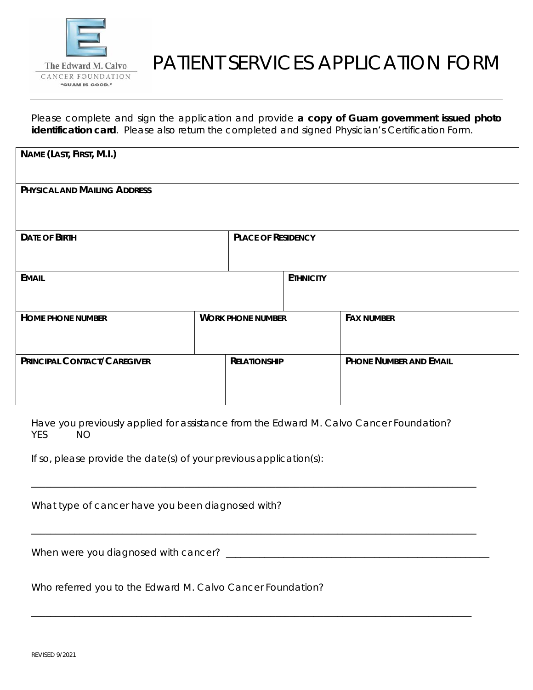

# PATIENT SERVICES APPLICATION FORM

Please complete and sign the application and provide **a copy of Guam government issued photo identification card**. Please also return the completed and signed Physician's Certification Form.

| NAME (LAST, FIRST, M.I.)     |                           |                  |                               |
|------------------------------|---------------------------|------------------|-------------------------------|
| PHYSICAL AND MAILING ADDRESS |                           |                  |                               |
| <b>DATE OF BIRTH</b>         | <b>PLACE OF RESIDENCY</b> |                  |                               |
| <b>EMAIL</b>                 |                           | <b>ETHNICITY</b> |                               |
| <b>HOME PHONE NUMBER</b>     | <b>WORK PHONE NUMBER</b>  |                  | <b>FAX NUMBER</b>             |
| PRINCIPAL CONTACT/CAREGIVER  | <b>RELATIONSHIP</b>       |                  | <b>PHONE NUMBER AND EMAIL</b> |

Have you previously applied for assistance from the Edward M. Calvo Cancer Foundation? YES NO

\_\_\_\_\_\_\_\_\_\_\_\_\_\_\_\_\_\_\_\_\_\_\_\_\_\_\_\_\_\_\_\_\_\_\_\_\_\_\_\_\_\_\_\_\_\_\_\_\_\_\_\_\_\_\_\_\_\_\_\_\_\_\_\_\_\_\_\_\_\_\_\_\_\_\_\_\_\_\_\_\_\_\_\_\_\_\_\_\_\_\_\_\_

\_\_\_\_\_\_\_\_\_\_\_\_\_\_\_\_\_\_\_\_\_\_\_\_\_\_\_\_\_\_\_\_\_\_\_\_\_\_\_\_\_\_\_\_\_\_\_\_\_\_\_\_\_\_\_\_\_\_\_\_\_\_\_\_\_\_\_\_\_\_\_\_\_\_\_\_\_\_\_\_\_\_\_\_\_\_\_\_\_\_\_\_\_

\_\_\_\_\_\_\_\_\_\_\_\_\_\_\_\_\_\_\_\_\_\_\_\_\_\_\_\_\_\_\_\_\_\_\_\_\_\_\_\_\_\_\_\_\_\_\_\_\_\_\_\_\_\_\_\_\_\_\_\_\_\_\_\_\_\_\_\_\_\_\_\_\_\_\_\_\_\_\_\_\_\_\_\_\_\_\_\_\_\_\_\_

If so, please provide the date(s) of your previous application(s):

What type of cancer have you been diagnosed with?

When were you diagnosed with cancer? \_\_\_\_\_\_\_\_\_\_\_\_\_\_\_\_\_\_\_\_\_\_\_\_\_\_\_\_\_\_\_\_\_\_\_\_\_\_\_\_\_\_\_\_\_\_\_\_\_\_\_\_\_\_\_

Who referred you to the Edward M. Calvo Cancer Foundation?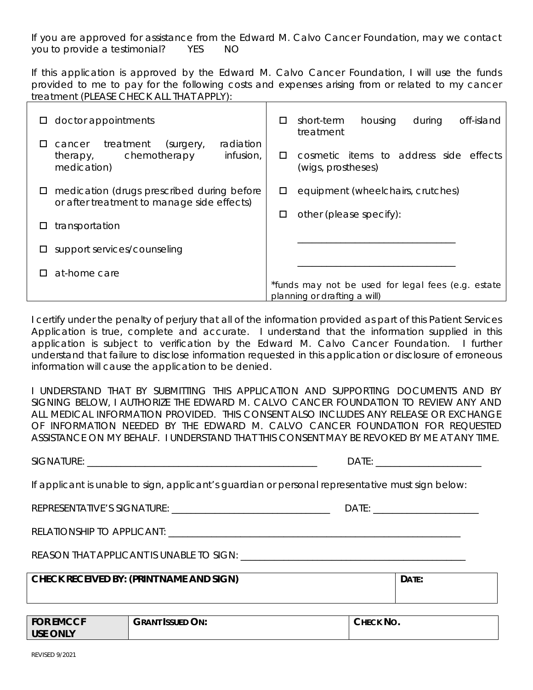If you are approved for assistance from the Edward M. Calvo Cancer Foundation, may we contact you to provide a testimonial? YES NO

If this application is approved by the Edward M. Calvo Cancer Foundation, I will use the funds provided to me to pay for the following costs and expenses arising from or related to my cancer treatment (PLEASE CHECK ALL THAT APPLY):

| $\Box$ doctor appointments                                                                              | housing<br>during<br>off-island<br>short-term<br>$\Box$<br>treatment               |  |
|---------------------------------------------------------------------------------------------------------|------------------------------------------------------------------------------------|--|
| radiation<br>cancer treatment<br>(surgery,<br>ப<br>chemotherapy<br>infusion,<br>therapy,<br>medication) | cosmetic items to address side effects<br>п<br>(wigs, prostheses)                  |  |
| medication (drugs prescribed during before<br>ш<br>or after treatment to manage side effects)           | equipment (wheelchairs, crutches)<br>□                                             |  |
| transportation<br>Ц                                                                                     | other (please specify):<br>□                                                       |  |
| support services/counseling<br>$\Box$                                                                   |                                                                                    |  |
| at-home care                                                                                            |                                                                                    |  |
|                                                                                                         | *funds may not be used for legal fees (e.g. estate<br>planning or drafting a will) |  |

I certify under the penalty of perjury that all of the information provided as part of this Patient Services Application is true, complete and accurate. I understand that the information supplied in this application is subject to verification by the Edward M. Calvo Cancer Foundation. I further understand that failure to disclose information requested in this application or disclosure of erroneous information will cause the application to be denied.

I UNDERSTAND THAT BY SUBMITTING THIS APPLICATION AND SUPPORTING DOCUMENTS AND BY SIGNING BELOW, I AUTHORIZE THE EDWARD M. CALVO CANCER FOUNDATION TO REVIEW ANY AND ALL MEDICAL INFORMATION PROVIDED. THIS CONSENT ALSO INCLUDES ANY RELEASE OR EXCHANGE OF INFORMATION NEEDED BY THE EDWARD M. CALVO CANCER FOUNDATION FOR REQUESTED ASSISTANCE ON MY BEHALF. I UNDERSTAND THAT THIS CONSENT MAY BE REVOKED BY ME AT ANY TIME.

SIGNATURE: \_\_\_\_\_\_\_\_\_\_\_\_\_\_\_\_\_\_\_\_\_\_\_\_\_\_\_\_\_\_\_\_\_\_\_\_\_\_\_\_\_\_\_\_\_\_\_\_ DATE: \_\_\_\_\_\_\_\_\_\_\_\_\_\_\_\_\_\_\_\_\_\_

If applicant is unable to sign, applicant's guardian or personal representative must sign below:

REPRESENTATIVE'S SIGNATURE:  $\Box$ 

RELATIONSHIP TO APPLICANT: \_\_\_\_\_\_\_\_\_\_\_\_\_\_\_\_\_\_\_\_\_\_\_\_\_\_\_\_\_\_\_\_\_\_\_\_\_\_\_\_\_\_\_\_\_\_\_\_\_\_\_\_\_\_\_\_\_\_\_\_\_

REASON THAT APPLICANT IS UNABLE TO SIGN: \_\_\_\_\_\_\_\_\_\_\_\_\_\_\_\_\_\_\_\_\_\_\_\_\_\_\_\_\_\_\_\_\_\_\_\_\_\_\_\_\_\_\_\_\_\_\_

| <b>CHECK RECEIVED BY: (PRINT NAME AND SIGN)</b> | DATE: |
|-------------------------------------------------|-------|
|                                                 |       |

| <b>FOR EMCCF</b> | <b>GRANT ISSUED ON:</b> | No.<br>Снеск |
|------------------|-------------------------|--------------|
| <b>USE ONLY</b>  |                         |              |